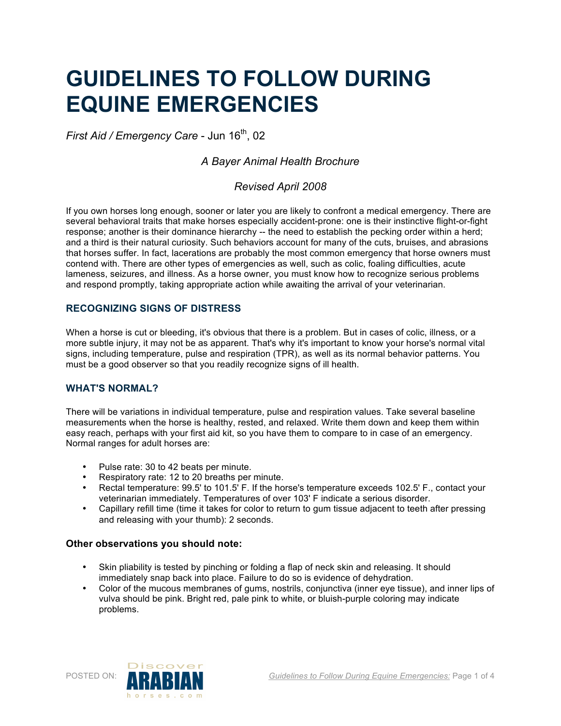# **GUIDELINES TO FOLLOW DURING EQUINE EMERGENCIES**

*First Aid / Emergency Care - Jun 16<sup>th</sup>, 02* 

# *A Bayer Animal Health Brochure*

# *Revised April 2008*

If you own horses long enough, sooner or later you are likely to confront a medical emergency. There are several behavioral traits that make horses especially accident-prone: one is their instinctive flight-or-fight response; another is their dominance hierarchy -- the need to establish the pecking order within a herd; and a third is their natural curiosity. Such behaviors account for many of the cuts, bruises, and abrasions that horses suffer. In fact, lacerations are probably the most common emergency that horse owners must contend with. There are other types of emergencies as well, such as colic, foaling difficulties, acute lameness, seizures, and illness. As a horse owner, you must know how to recognize serious problems and respond promptly, taking appropriate action while awaiting the arrival of your veterinarian.

## **RECOGNIZING SIGNS OF DISTRESS**

When a horse is cut or bleeding, it's obvious that there is a problem. But in cases of colic, illness, or a more subtle injury, it may not be as apparent. That's why it's important to know your horse's normal vital signs, including temperature, pulse and respiration (TPR), as well as its normal behavior patterns. You must be a good observer so that you readily recognize signs of ill health.

## **WHAT'S NORMAL?**

There will be variations in individual temperature, pulse and respiration values. Take several baseline measurements when the horse is healthy, rested, and relaxed. Write them down and keep them within easy reach, perhaps with your first aid kit, so you have them to compare to in case of an emergency. Normal ranges for adult horses are:

- Pulse rate: 30 to 42 beats per minute.
- Respiratory rate: 12 to 20 breaths per minute.
- Rectal temperature: 99.5' to 101.5' F. If the horse's temperature exceeds 102.5' F., contact your veterinarian immediately. Temperatures of over 103' F indicate a serious disorder.
- Capillary refill time (time it takes for color to return to gum tissue adjacent to teeth after pressing and releasing with your thumb): 2 seconds.

## **Other observations you should note:**

- Skin pliability is tested by pinching or folding a flap of neck skin and releasing. It should immediately snap back into place. Failure to do so is evidence of dehydration.
- Color of the mucous membranes of gums, nostrils, conjunctiva (inner eye tissue), and inner lips of vulva should be pink. Bright red, pale pink to white, or bluish-purple coloring may indicate problems.

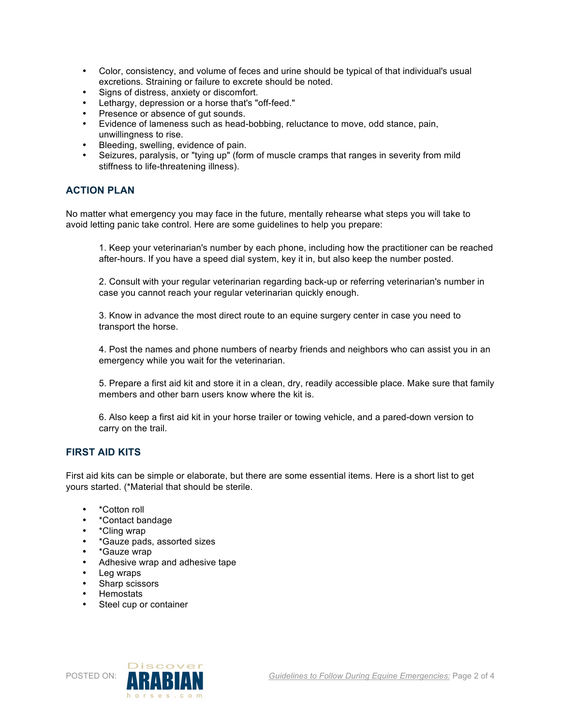- Color, consistency, and volume of feces and urine should be typical of that individual's usual excretions. Straining or failure to excrete should be noted.
- Signs of distress, anxiety or discomfort.
- Lethargy, depression or a horse that's "off-feed."
- Presence or absence of gut sounds.
- Evidence of lameness such as head-bobbing, reluctance to move, odd stance, pain, unwillingness to rise.
- Bleeding, swelling, evidence of pain.
- Seizures, paralysis, or "tying up" (form of muscle cramps that ranges in severity from mild stiffness to life-threatening illness).

#### **ACTION PLAN**

No matter what emergency you may face in the future, mentally rehearse what steps you will take to avoid letting panic take control. Here are some guidelines to help you prepare:

1. Keep your veterinarian's number by each phone, including how the practitioner can be reached after-hours. If you have a speed dial system, key it in, but also keep the number posted.

2. Consult with your regular veterinarian regarding back-up or referring veterinarian's number in case you cannot reach your regular veterinarian quickly enough.

3. Know in advance the most direct route to an equine surgery center in case you need to transport the horse.

4. Post the names and phone numbers of nearby friends and neighbors who can assist you in an emergency while you wait for the veterinarian.

5. Prepare a first aid kit and store it in a clean, dry, readily accessible place. Make sure that family members and other barn users know where the kit is.

6. Also keep a first aid kit in your horse trailer or towing vehicle, and a pared-down version to carry on the trail.

#### **FIRST AID KITS**

First aid kits can be simple or elaborate, but there are some essential items. Here is a short list to get yours started. (\*Material that should be sterile.

- \*Cotton roll
- \*Contact bandage
- \*Cling wrap
- \*Gauze pads, assorted sizes
- \*Gauze wrap
- Adhesive wrap and adhesive tape
- Leg wraps
- Sharp scissors
- Hemostats
- Steel cup or container

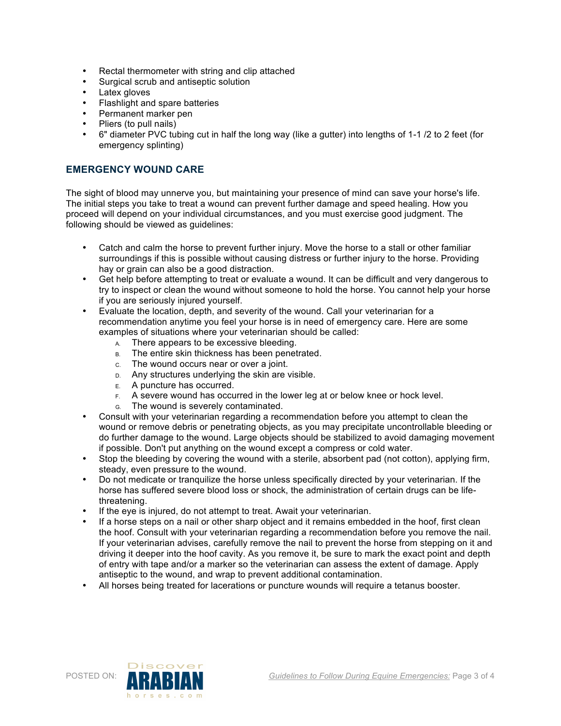- Rectal thermometer with string and clip attached
- Surgical scrub and antiseptic solution
- Latex gloves
- Flashlight and spare batteries
- Permanent marker pen
- Pliers (to pull nails)
- 6" diameter PVC tubing cut in half the long way (like a gutter) into lengths of 1-1 /2 to 2 feet (for emergency splinting)

## **EMERGENCY WOUND CARE**

The sight of blood may unnerve you, but maintaining your presence of mind can save your horse's life. The initial steps you take to treat a wound can prevent further damage and speed healing. How you proceed will depend on your individual circumstances, and you must exercise good judgment. The following should be viewed as guidelines:

- Catch and calm the horse to prevent further injury. Move the horse to a stall or other familiar surroundings if this is possible without causing distress or further injury to the horse. Providing hay or grain can also be a good distraction.
- Get help before attempting to treat or evaluate a wound. It can be difficult and very dangerous to try to inspect or clean the wound without someone to hold the horse. You cannot help your horse if you are seriously injured yourself.
- Evaluate the location, depth, and severity of the wound. Call your veterinarian for a recommendation anytime you feel your horse is in need of emergency care. Here are some examples of situations where your veterinarian should be called:
	- A. There appears to be excessive bleeding.
	- B. The entire skin thickness has been penetrated.
	- C. The wound occurs near or over a joint.
	- D. Any structures underlying the skin are visible.
	- E. A puncture has occurred.
	- F. A severe wound has occurred in the lower leg at or below knee or hock level.
	- G. The wound is severely contaminated.
- Consult with your veterinarian regarding a recommendation before you attempt to clean the wound or remove debris or penetrating objects, as you may precipitate uncontrollable bleeding or do further damage to the wound. Large objects should be stabilized to avoid damaging movement if possible. Don't put anything on the wound except a compress or cold water.
- Stop the bleeding by covering the wound with a sterile, absorbent pad (not cotton), applying firm, steady, even pressure to the wound.
- Do not medicate or tranquilize the horse unless specifically directed by your veterinarian. If the horse has suffered severe blood loss or shock, the administration of certain drugs can be lifethreatening.
- If the eye is injured, do not attempt to treat. Await your veterinarian.
- If a horse steps on a nail or other sharp object and it remains embedded in the hoof, first clean the hoof. Consult with your veterinarian regarding a recommendation before you remove the nail. If your veterinarian advises, carefully remove the nail to prevent the horse from stepping on it and driving it deeper into the hoof cavity. As you remove it, be sure to mark the exact point and depth of entry with tape and/or a marker so the veterinarian can assess the extent of damage. Apply antiseptic to the wound, and wrap to prevent additional contamination.
- All horses being treated for lacerations or puncture wounds will require a tetanus booster.